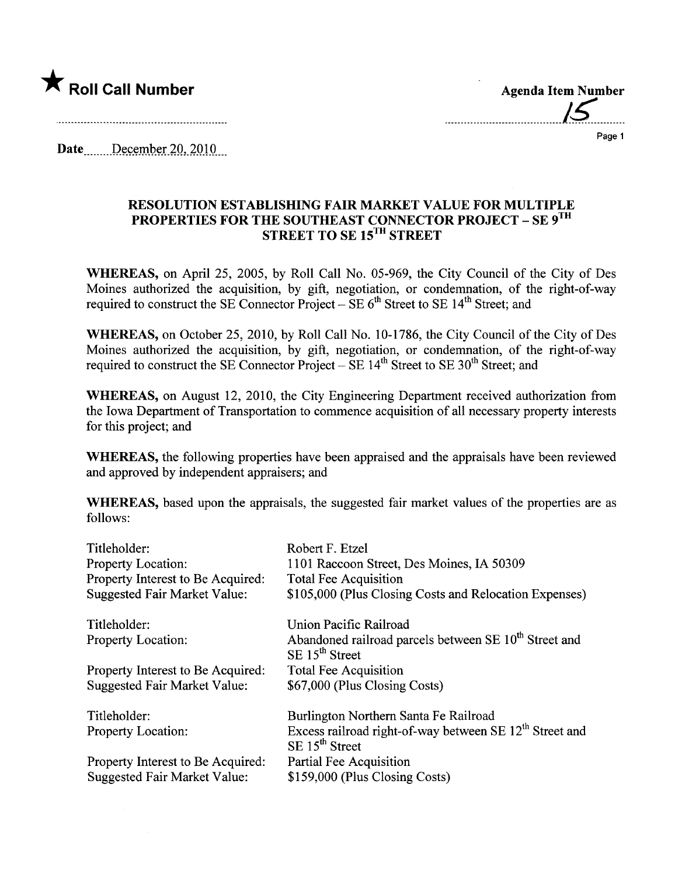

Agenda Item Number .....................................15.........

Page 1

Date \_\_\_\_\_\_ December 20, 2010

## RESOLUTION ESTABLISHING FAIR MARKT VALUE FOR MULTIPLE PROPERTIES FOR THE SOUTHEAST CONNECTOR PROJECT – SE 9  $^{\mathrm{H}}$ STREET TO SE 15<sup>1H</sup> STREET

WHEREAS, on April 25, 2005, by Roll Call No. 05-969, the City Council of the City of Des Moines authorized the acquisition, by gift, negotiation, or condemnation, of the right-of-way required to construct the SE Connector Project – SE  $6<sup>th</sup>$  Street to SE 14<sup>th</sup> Street; and

WHEREAS, on October 25, 2010, by Roll Call No. 10-1786, the City Council of the City of Des Moines authorized the acquisition, by gift, negotiation, or condemnation, of the right-of-way required to construct the SE Connector Project  $-$  SE 14<sup>th</sup> Street to SE 30<sup>th</sup> Street; and

WHEREAS, on August 12, 2010, the City Engineering Department received authorization from the Iowa Department of Transportation to commence acquisition of all necessary property interests for this project; and

WHEREAS, the following properties have been appraised and the appraisals have been reviewed and approved by independent appraisers; and

WHEREAS, based upon the appraisals, the suggested fair market values of the properties are as follows:

| Titleholder:                        | Robert F. Etzel                                                                                   |
|-------------------------------------|---------------------------------------------------------------------------------------------------|
| Property Location:                  | 1101 Raccoon Street, Des Moines, IA 50309                                                         |
| Property Interest to Be Acquired:   | <b>Total Fee Acquisition</b>                                                                      |
| <b>Suggested Fair Market Value:</b> | \$105,000 (Plus Closing Costs and Relocation Expenses)                                            |
| Titleholder:                        | Union Pacific Railroad                                                                            |
| <b>Property Location:</b>           | Abandoned railroad parcels between SE 10 <sup>th</sup> Street and<br>$SE$ 15 <sup>th</sup> Street |
| Property Interest to Be Acquired:   | <b>Total Fee Acquisition</b>                                                                      |
| <b>Suggested Fair Market Value:</b> | \$67,000 (Plus Closing Costs)                                                                     |
| Titleholder:                        | Burlington Northern Santa Fe Railroad                                                             |
| <b>Property Location:</b>           | Excess railroad right-of-way between SE $12th$ Street and<br>$SE$ 15 <sup>th</sup> Street         |
| Property Interest to Be Acquired:   | Partial Fee Acquisition                                                                           |
| <b>Suggested Fair Market Value:</b> | \$159,000 (Plus Closing Costs)                                                                    |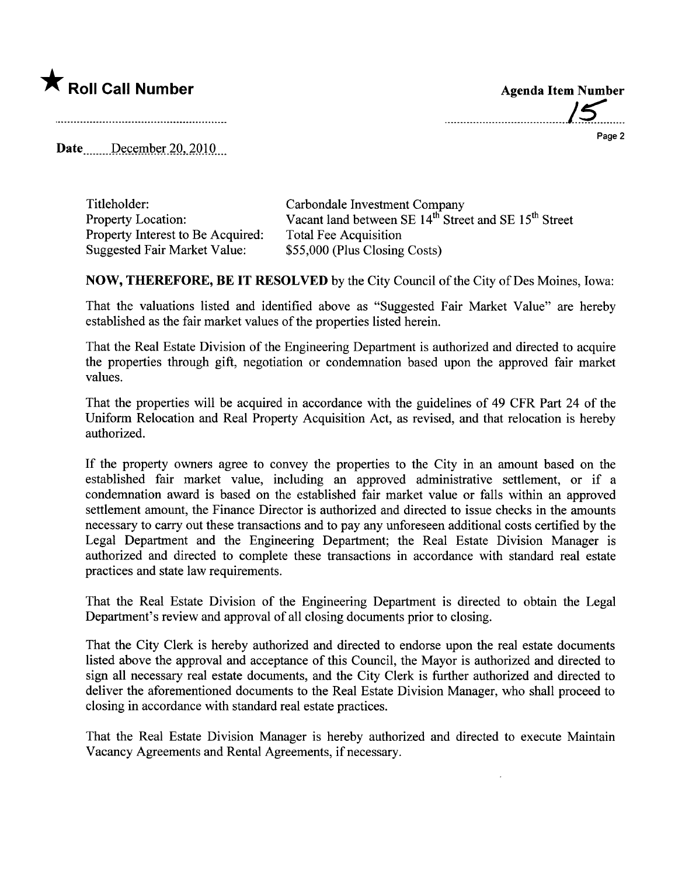

......................................./S'......

Page 2

Date  $\qquad$  December 20, 2010

| Titleholder:                        | Carbondale Investment Company                                                 |
|-------------------------------------|-------------------------------------------------------------------------------|
| <b>Property Location:</b>           | Vacant land between SE 14 <sup>th</sup> Street and SE 15 <sup>th</sup> Street |
| Property Interest to Be Acquired:   | Total Fee Acquisition                                                         |
| <b>Suggested Fair Market Value:</b> | \$55,000 (Plus Closing Costs)                                                 |

NOW, THEREFORE, BE IT RESOLVED by the City Council ofthe City of Des Moines, Iowa:

That the valuations listed and identified above as "Suggested Fair Market Value" are hereby established as the fair market values of the properties listed herein.

That the Real Estate Division of the Engineering Deparment is authorized and directed to acquire the properties through gift, negotiation or condemnation based upon the approved fair market values.

That the properties will be acquired in accordance with the guidelines of 49 CFR Part 24 of the Uniform Relocation and Real Property Acquisition Act, as revised, and that relocation is hereby authorized.

If the property owners agree to convey the properties to the City in an amount based on the established fair market value, including an approved administrative settlement, or if a condemnation award is based on the established fair market value or falls within an approved settlement amount, the Finance Director is authorized and directed to issue checks in the amounts necessary to cary out these transactions and to pay any unforeseen additional costs certified by the Legal Deparment and the Engineering Deparment; the Real Estate Division Manager is authorized and directed to complete these transactions in accordance with standard real estate practices and state law requirements.

That the Real Estate Division of the Engineering Department is directed to obtain the Legal Department's review and approval of all closing documents prior to closing.

That the City Clerk is hereby authorized and directed to endorse upon the real estate documents listed above the approval and acceptance of this Council, the Mayor is authorized and directed to sign all necessary real estate documents, and the City Clerk is further authorized and directed to deliver the aforementioned documents to the Real Estate Division Manager, who shall proceed to closing in accordance with standard real estate practices.

That the Real Estate Division Manager is hereby authorized and directed to execute Maintain Vacancy Agreements and Rental Agreements, if necessary.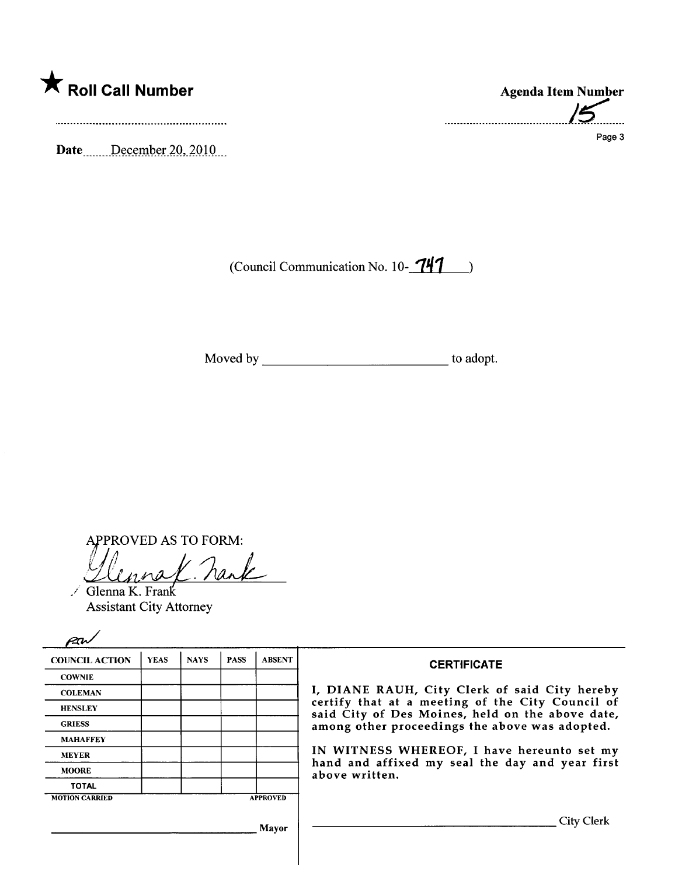

Date December 20, 2010

.......................................¡~..... Page 3

(Council Communication No. 10- $741$ )

Moved by to adopt.

APPROVED AS TO FORM:<br>*Uluna X* . nank

Glenna K. Frank Assistant City Attorney

| <b>COUNCIL ACTION</b> | <b>YEAS</b> | <b>NAYS</b> | <b>PASS</b> | <b>ABSENT</b>                                                     | <b>CERTIFICATE</b>                                                                                                                                                                                                                                    |
|-----------------------|-------------|-------------|-------------|-------------------------------------------------------------------|-------------------------------------------------------------------------------------------------------------------------------------------------------------------------------------------------------------------------------------------------------|
| <b>COWNIE</b>         |             |             |             |                                                                   |                                                                                                                                                                                                                                                       |
| <b>COLEMAN</b>        |             |             |             |                                                                   | I, DIANE RAUH, City Clerk of said City hereby<br>certify that at a meeting of the City Council of<br>said City of Des Moines, held on the above date,<br>among other proceedings the above was adopted.<br>IN WITNESS WHEREOF, I have hereunto set my |
| <b>HENSLEY</b>        |             |             |             |                                                                   |                                                                                                                                                                                                                                                       |
| <b>GRIESS</b>         |             |             |             |                                                                   |                                                                                                                                                                                                                                                       |
| <b>MAHAFFEY</b>       |             |             |             |                                                                   |                                                                                                                                                                                                                                                       |
| <b>MEYER</b>          |             |             |             |                                                                   |                                                                                                                                                                                                                                                       |
| <b>MOORE</b>          |             |             |             | hand and affixed my seal the day and year first<br>above written. |                                                                                                                                                                                                                                                       |
| <b>TOTAL</b>          |             |             |             |                                                                   |                                                                                                                                                                                                                                                       |
| <b>MOTION CARRIED</b> |             |             |             | <b>APPROVED</b>                                                   |                                                                                                                                                                                                                                                       |
|                       |             |             |             | Mayor                                                             | City Clerk                                                                                                                                                                                                                                            |